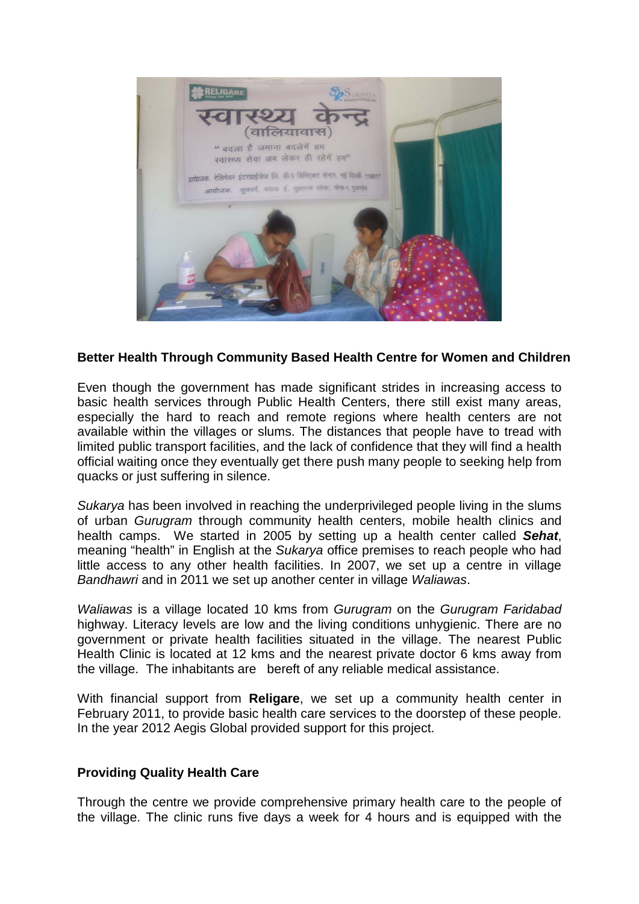

## **Better Health Through Community Based Health Centre for Women and Children**

Even though the government has made significant strides in increasing access to basic health services through Public Health Centers, there still exist many areas, especially the hard to reach and remote regions where health centers are not available within the villages or slums. The distances that people have to tread with limited public transport facilities, and the lack of confidence that they will find a health official waiting once they eventually get there push many people to seeking help from quacks or just suffering in silence.

*Sukarya* has been involved in reaching the underprivileged people living in the slums of urban *Gurugram* through community health centers, mobile health clinics and health camps. We started in 2005 by setting up a health center called *Sehat*, meaning "health" in English at the *Sukarya* office premises to reach people who had little access to any other health facilities. In 2007, we set up a centre in village *Bandhawri* and in 2011 we set up another center in village *Waliawas*.

*Waliawas* is a village located 10 kms from *Gurugram* on the *Gurugram Faridabad* highway. Literacy levels are low and the living conditions unhygienic. There are no government or private health facilities situated in the village. The nearest Public Health Clinic is located at 12 kms and the nearest private doctor 6 kms away from the village. The inhabitants are bereft of any reliable medical assistance.

With financial support from **Religare**, we set up a community health center in February 2011, to provide basic health care services to the doorstep of these people. In the year 2012 Aegis Global provided support for this project.

## **Providing Quality Health Care**

Through the centre we provide comprehensive primary health care to the people of the village. The clinic runs five days a week for 4 hours and is equipped with the